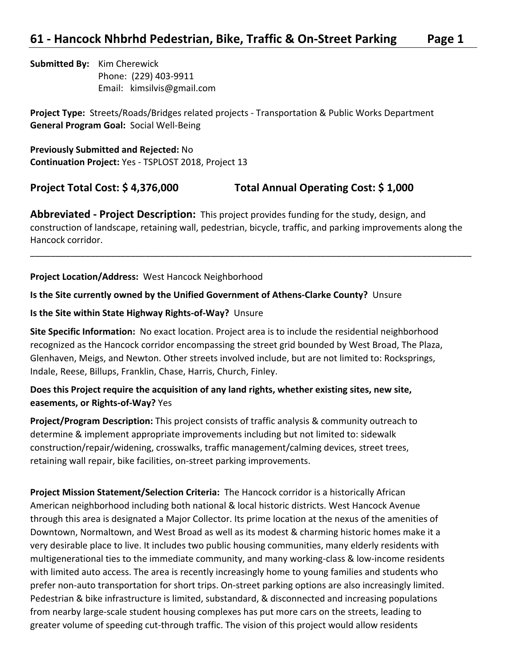**Submitted By:** Kim Cherewick Phone: (229) 403-9911 Email: kimsilvis@gmail.com

**Project Type:** Streets/Roads/Bridges related projects - Transportation & Public Works Department **General Program Goal:** Social Well-Being

**Previously Submitted and Rejected:** No **Continuation Project:** Yes - TSPLOST 2018, Project 13

**Project Total Cost: \$ 4,376,000 Total Annual Operating Cost: \$ 1,000**

**Abbreviated - Project Description:** This project provides funding for the study, design, and construction of landscape, retaining wall, pedestrian, bicycle, traffic, and parking improvements along the Hancock corridor.

\_\_\_\_\_\_\_\_\_\_\_\_\_\_\_\_\_\_\_\_\_\_\_\_\_\_\_\_\_\_\_\_\_\_\_\_\_\_\_\_\_\_\_\_\_\_\_\_\_\_\_\_\_\_\_\_\_\_\_\_\_\_\_\_\_\_\_\_\_\_\_\_\_\_\_\_\_\_\_\_\_\_\_\_\_\_\_\_

**Project Location/Address:** West Hancock Neighborhood

#### **Is the Site currently owned by the Unified Government of Athens-Clarke County?** Unsure

#### **Is the Site within State Highway Rights-of-Way?** Unsure

**Site Specific Information:** No exact location. Project area is to include the residential neighborhood recognized as the Hancock corridor encompassing the street grid bounded by West Broad, The Plaza, Glenhaven, Meigs, and Newton. Other streets involved include, but are not limited to: Rocksprings, Indale, Reese, Billups, Franklin, Chase, Harris, Church, Finley.

#### **Does this Project require the acquisition of any land rights, whether existing sites, new site, easements, or Rights-of-Way?** Yes

**Project/Program Description:** This project consists of traffic analysis & community outreach to determine & implement appropriate improvements including but not limited to: sidewalk construction/repair/widening, crosswalks, traffic management/calming devices, street trees, retaining wall repair, bike facilities, on-street parking improvements.

**Project Mission Statement/Selection Criteria:** The Hancock corridor is a historically African American neighborhood including both national & local historic districts. West Hancock Avenue through this area is designated a Major Collector. Its prime location at the nexus of the amenities of Downtown, Normaltown, and West Broad as well as its modest & charming historic homes make it a very desirable place to live. It includes two public housing communities, many elderly residents with multigenerational ties to the immediate community, and many working-class & low-income residents with limited auto access. The area is recently increasingly home to young families and students who prefer non-auto transportation for short trips. On-street parking options are also increasingly limited. Pedestrian & bike infrastructure is limited, substandard, & disconnected and increasing populations from nearby large-scale student housing complexes has put more cars on the streets, leading to greater volume of speeding cut-through traffic. The vision of this project would allow residents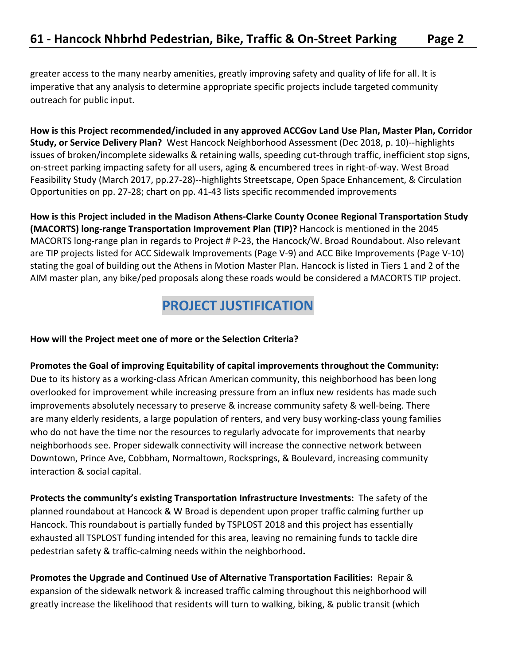greater access to the many nearby amenities, greatly improving safety and quality of life for all. It is imperative that any analysis to determine appropriate specific projects include targeted community outreach for public input.

**How is this Project recommended/included in any approved ACCGov Land Use Plan, Master Plan, Corridor Study, or Service Delivery Plan?** West Hancock Neighborhood Assessment (Dec 2018, p. 10)--highlights issues of broken/incomplete sidewalks & retaining walls, speeding cut-through traffic, inefficient stop signs, on-street parking impacting safety for all users, aging & encumbered trees in right-of-way. West Broad Feasibility Study (March 2017, pp.27-28)--highlights Streetscape, Open Space Enhancement, & Circulation Opportunities on pp. 27-28; chart on pp. 41-43 lists specific recommended improvements

**How is this Project included in the Madison Athens-Clarke County Oconee Regional Transportation Study (MACORTS) long-range Transportation Improvement Plan (TIP)?** Hancock is mentioned in the 2045 MACORTS long-range plan in regards to Project # P-23, the Hancock/W. Broad Roundabout. Also relevant are TIP projects listed for ACC Sidewalk Improvements (Page V-9) and ACC Bike Improvements (Page V-10) stating the goal of building out the Athens in Motion Master Plan. Hancock is listed in Tiers 1 and 2 of the AIM master plan, any bike/ped proposals along these roads would be considered a MACORTS TIP project.

### **PROJECT JUSTIFICATION**

#### **How will the Project meet one of more or the Selection Criteria?**

**Promotes the Goal of improving Equitability of capital improvements throughout the Community:**  Due to its history as a working-class African American community, this neighborhood has been long overlooked for improvement while increasing pressure from an influx new residents has made such improvements absolutely necessary to preserve & increase community safety & well-being. There are many elderly residents, a large population of renters, and very busy working-class young families who do not have the time nor the resources to regularly advocate for improvements that nearby neighborhoods see. Proper sidewalk connectivity will increase the connective network between Downtown, Prince Ave, Cobbham, Normaltown, Rocksprings, & Boulevard, increasing community interaction & social capital.

**Protects the community's existing Transportation Infrastructure Investments:** The safety of the planned roundabout at Hancock & W Broad is dependent upon proper traffic calming further up Hancock. This roundabout is partially funded by TSPLOST 2018 and this project has essentially exhausted all TSPLOST funding intended for this area, leaving no remaining funds to tackle dire pedestrian safety & traffic-calming needs within the neighborhood**.**

**Promotes the Upgrade and Continued Use of Alternative Transportation Facilities:** Repair & expansion of the sidewalk network & increased traffic calming throughout this neighborhood will greatly increase the likelihood that residents will turn to walking, biking, & public transit (which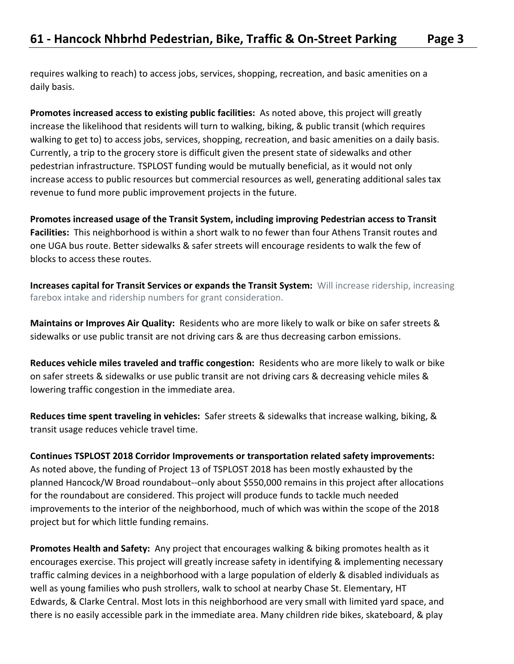requires walking to reach) to access jobs, services, shopping, recreation, and basic amenities on a daily basis.

**Promotes increased access to existing public facilities:** As noted above, this project will greatly increase the likelihood that residents will turn to walking, biking, & public transit (which requires walking to get to) to access jobs, services, shopping, recreation, and basic amenities on a daily basis. Currently, a trip to the grocery store is difficult given the present state of sidewalks and other pedestrian infrastructure. TSPLOST funding would be mutually beneficial, as it would not only increase access to public resources but commercial resources as well, generating additional sales tax revenue to fund more public improvement projects in the future.

**Promotes increased usage of the Transit System, including improving Pedestrian access to Transit Facilities:** This neighborhood is within a short walk to no fewer than four Athens Transit routes and one UGA bus route. Better sidewalks & safer streets will encourage residents to walk the few of blocks to access these routes.

**Increases capital for Transit Services or expands the Transit System:** Will increase ridership, increasing farebox intake and ridership numbers for grant consideration.

**Maintains or Improves Air Quality:** Residents who are more likely to walk or bike on safer streets & sidewalks or use public transit are not driving cars & are thus decreasing carbon emissions.

**Reduces vehicle miles traveled and traffic congestion:** Residents who are more likely to walk or bike on safer streets & sidewalks or use public transit are not driving cars & decreasing vehicle miles & lowering traffic congestion in the immediate area.

**Reduces time spent traveling in vehicles:** Safer streets & sidewalks that increase walking, biking, & transit usage reduces vehicle travel time.

**Continues TSPLOST 2018 Corridor Improvements or transportation related safety improvements:**  As noted above, the funding of Project 13 of TSPLOST 2018 has been mostly exhausted by the planned Hancock/W Broad roundabout--only about \$550,000 remains in this project after allocations for the roundabout are considered. This project will produce funds to tackle much needed improvements to the interior of the neighborhood, much of which was within the scope of the 2018 project but for which little funding remains.

**Promotes Health and Safety:** Any project that encourages walking & biking promotes health as it encourages exercise. This project will greatly increase safety in identifying & implementing necessary traffic calming devices in a neighborhood with a large population of elderly & disabled individuals as well as young families who push strollers, walk to school at nearby Chase St. Elementary, HT Edwards, & Clarke Central. Most lots in this neighborhood are very small with limited yard space, and there is no easily accessible park in the immediate area. Many children ride bikes, skateboard, & play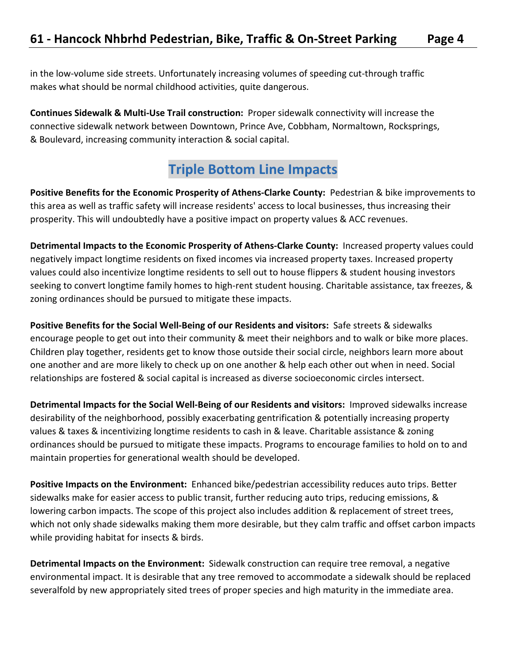in the low-volume side streets. Unfortunately increasing volumes of speeding cut-through traffic makes what should be normal childhood activities, quite dangerous.

**Continues Sidewalk & Multi-Use Trail construction:** Proper sidewalk connectivity will increase the connective sidewalk network between Downtown, Prince Ave, Cobbham, Normaltown, Rocksprings, & Boulevard, increasing community interaction & social capital.

# **Triple Bottom Line Impacts**

**Positive Benefits for the Economic Prosperity of Athens-Clarke County:** Pedestrian & bike improvements to this area as well as traffic safety will increase residents' access to local businesses, thus increasing their prosperity. This will undoubtedly have a positive impact on property values & ACC revenues.

**Detrimental Impacts to the Economic Prosperity of Athens-Clarke County:** Increased property values could negatively impact longtime residents on fixed incomes via increased property taxes. Increased property values could also incentivize longtime residents to sell out to house flippers & student housing investors seeking to convert longtime family homes to high-rent student housing. Charitable assistance, tax freezes, & zoning ordinances should be pursued to mitigate these impacts.

**Positive Benefits for the Social Well-Being of our Residents and visitors:** Safe streets & sidewalks encourage people to get out into their community & meet their neighbors and to walk or bike more places. Children play together, residents get to know those outside their social circle, neighbors learn more about one another and are more likely to check up on one another & help each other out when in need. Social relationships are fostered & social capital is increased as diverse socioeconomic circles intersect.

**Detrimental Impacts for the Social Well-Being of our Residents and visitors:** Improved sidewalks increase desirability of the neighborhood, possibly exacerbating gentrification & potentially increasing property values & taxes & incentivizing longtime residents to cash in & leave. Charitable assistance & zoning ordinances should be pursued to mitigate these impacts. Programs to encourage families to hold on to and maintain properties for generational wealth should be developed.

**Positive Impacts on the Environment:** Enhanced bike/pedestrian accessibility reduces auto trips. Better sidewalks make for easier access to public transit, further reducing auto trips, reducing emissions, & lowering carbon impacts. The scope of this project also includes addition & replacement of street trees, which not only shade sidewalks making them more desirable, but they calm traffic and offset carbon impacts while providing habitat for insects & birds.

**Detrimental Impacts on the Environment:** Sidewalk construction can require tree removal, a negative environmental impact. It is desirable that any tree removed to accommodate a sidewalk should be replaced severalfold by new appropriately sited trees of proper species and high maturity in the immediate area.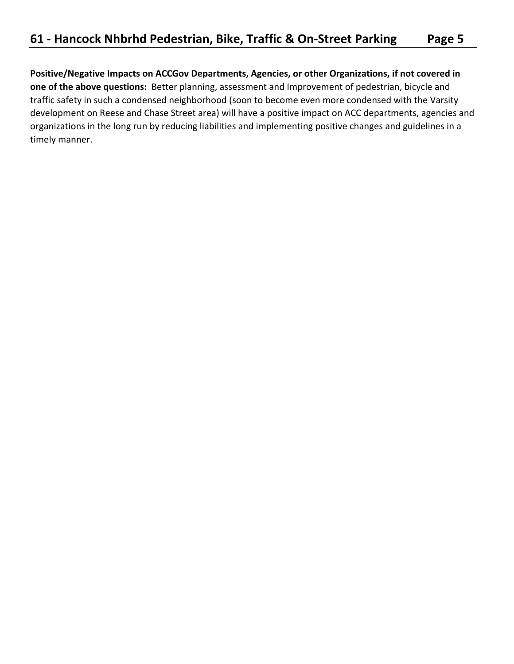**Positive/Negative Impacts on ACCGov Departments, Agencies, or other Organizations, if not covered in one of the above questions:** Better planning, assessment and Improvement of pedestrian, bicycle and traffic safety in such a condensed neighborhood (soon to become even more condensed with the Varsity development on Reese and Chase Street area) will have a positive impact on ACC departments, agencies and organizations in the long run by reducing liabilities and implementing positive changes and guidelines in a timely manner.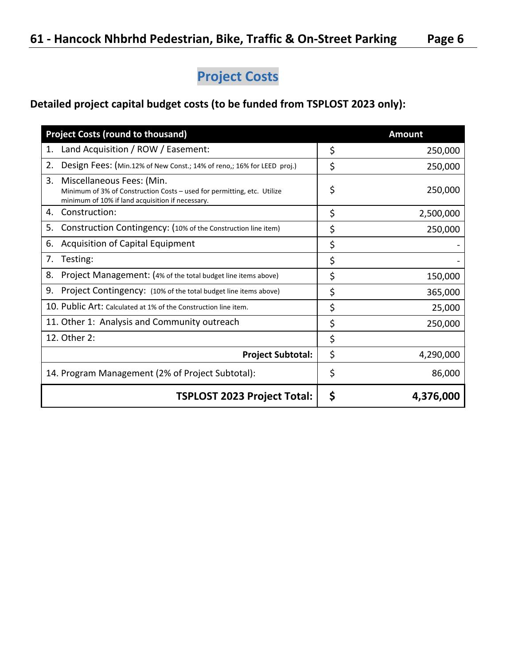# **Project Costs**

### **Detailed project capital budget costs (to be funded from TSPLOST 2023 only):**

| <b>Project Costs (round to thousand)</b>                                                                                                                       | <b>Amount</b>   |
|----------------------------------------------------------------------------------------------------------------------------------------------------------------|-----------------|
| Land Acquisition / ROW / Easement:<br>1.                                                                                                                       | \$<br>250,000   |
| 2.<br>Design Fees: (Min.12% of New Const.; 14% of reno,; 16% for LEED proj.)                                                                                   | \$<br>250,000   |
| 3.<br>Miscellaneous Fees: (Min.<br>Minimum of 3% of Construction Costs - used for permitting, etc. Utilize<br>minimum of 10% if land acquisition if necessary. | \$<br>250,000   |
| Construction:<br>4.                                                                                                                                            | \$<br>2,500,000 |
| Construction Contingency: (10% of the Construction line item)<br>5.                                                                                            | \$<br>250,000   |
| <b>Acquisition of Capital Equipment</b><br>6.                                                                                                                  | \$              |
| Testing:<br>7.                                                                                                                                                 | \$              |
| 8.<br>Project Management: (4% of the total budget line items above)                                                                                            | \$<br>150,000   |
| 9.<br>Project Contingency: (10% of the total budget line items above)                                                                                          | \$<br>365,000   |
| 10. Public Art: Calculated at 1% of the Construction line item.                                                                                                | \$<br>25,000    |
| 11. Other 1: Analysis and Community outreach                                                                                                                   | \$<br>250,000   |
| 12. Other 2:                                                                                                                                                   | \$              |
| <b>Project Subtotal:</b>                                                                                                                                       | \$<br>4,290,000 |
| 14. Program Management (2% of Project Subtotal):                                                                                                               | \$<br>86,000    |
| <b>TSPLOST 2023 Project Total:</b>                                                                                                                             | \$<br>4,376,000 |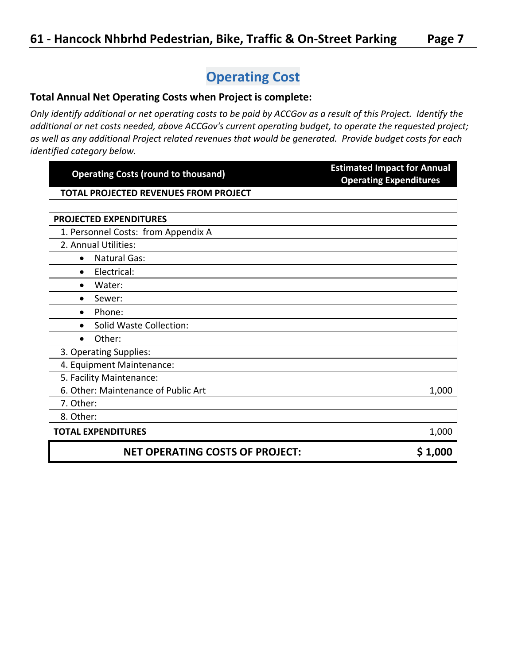# **Operating Cost**

#### **Total Annual Net Operating Costs when Project is complete:**

*Only identify additional or net operating costs to be paid by ACCGov as a result of this Project. Identify the additional or net costs needed, above ACCGov's current operating budget, to operate the requested project; as well as any additional Project related revenues that would be generated. Provide budget costs for each identified category below.* 

| <b>Operating Costs (round to thousand)</b>   | <b>Estimated Impact for Annual</b><br><b>Operating Expenditures</b> |
|----------------------------------------------|---------------------------------------------------------------------|
| <b>TOTAL PROJECTED REVENUES FROM PROJECT</b> |                                                                     |
|                                              |                                                                     |
| <b>PROJECTED EXPENDITURES</b>                |                                                                     |
| 1. Personnel Costs: from Appendix A          |                                                                     |
| 2. Annual Utilities:                         |                                                                     |
| <b>Natural Gas:</b><br>$\bullet$             |                                                                     |
| Electrical:<br>$\bullet$                     |                                                                     |
| Water:<br>$\bullet$                          |                                                                     |
| Sewer:<br>$\bullet$                          |                                                                     |
| Phone:<br>$\bullet$                          |                                                                     |
| <b>Solid Waste Collection:</b><br>$\bullet$  |                                                                     |
| Other:<br>$\bullet$                          |                                                                     |
| 3. Operating Supplies:                       |                                                                     |
| 4. Equipment Maintenance:                    |                                                                     |
| 5. Facility Maintenance:                     |                                                                     |
| 6. Other: Maintenance of Public Art          | 1,000                                                               |
| 7. Other:                                    |                                                                     |
| 8. Other:                                    |                                                                     |
| <b>TOTAL EXPENDITURES</b>                    | 1,000                                                               |
| <b>NET OPERATING COSTS OF PROJECT:</b>       | \$1,000                                                             |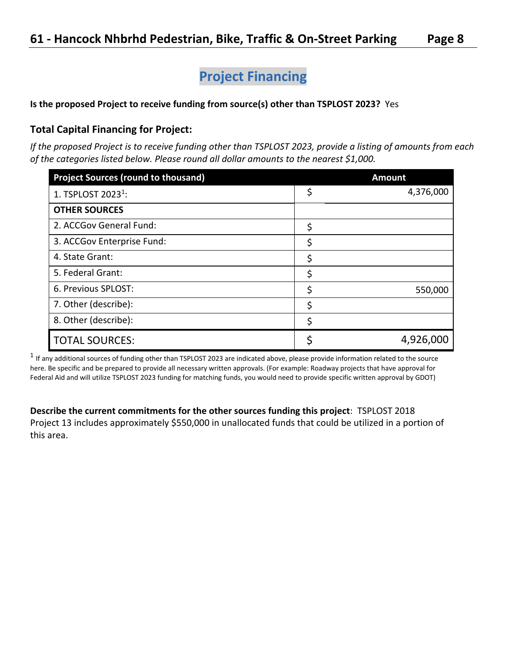# **Project Financing**

#### **Is the proposed Project to receive funding from source(s) other than TSPLOST 2023?** Yes

#### **Total Capital Financing for Project:**

*If the proposed Project is to receive funding other than TSPLOST 2023, provide a listing of amounts from each of the categories listed below. Please round all dollar amounts to the nearest \$1,000.*

| <b>Project Sources (round to thousand)</b> |    | <b>Amount</b> |
|--------------------------------------------|----|---------------|
| 1. TSPLOST 2023 <sup>1</sup> :             | \$ | 4,376,000     |
| <b>OTHER SOURCES</b>                       |    |               |
| 2. ACCGov General Fund:                    | \$ |               |
| 3. ACCGov Enterprise Fund:                 | \$ |               |
| 4. State Grant:                            | \$ |               |
| 5. Federal Grant:                          | \$ |               |
| 6. Previous SPLOST:                        | S  | 550,000       |
| 7. Other (describe):                       | \$ |               |
| 8. Other (describe):                       | \$ |               |
| <b>TOTAL SOURCES:</b>                      |    | 4,926,000     |

 $^1$  If any additional sources of funding other than TSPLOST 2023 are indicated above, please provide information related to the source here. Be specific and be prepared to provide all necessary written approvals. (For example: Roadway projects that have approval for Federal Aid and will utilize TSPLOST 2023 funding for matching funds, you would need to provide specific written approval by GDOT)

**Describe the current commitments for the other sources funding this project**: TSPLOST 2018 Project 13 includes approximately \$550,000 in unallocated funds that could be utilized in a portion of this area.